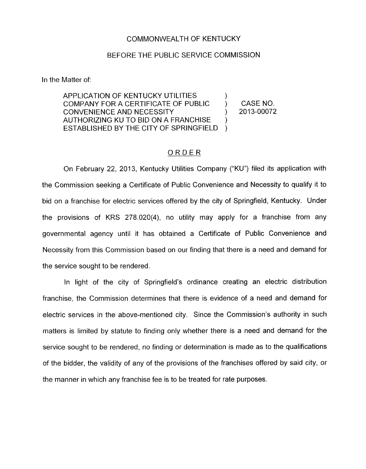## COMMONWEALTH OF KENTUCKY

## BEFORE THE PUBLIC SERVICE COMMISSION

In the Matter of:

APPLICATION OF KENTUCKY UTILITIES COMPANY FOR A CERTIFICATE OF PUBLIC ) CASE NO. AUTHORIZING KU TO BID ON A FRANCHISE ESTABLISHED BY THE CITY OF SPRINGFIELD CONVENIENCE AND NECESSITY ) 2013-00072 ) )

## ORDER

On February 22, 2013. Kentucky Utilities Company ("KU") filed its application with the Commission seeking a Certificate of Public Convenience and Necessity to qualify it to bid on a franchise for electric services offered by the city of Springfield, Kentucky. Under the provisions of KRS 278.020(4), no utility may apply for a franchise from any governmental agency until it has obtained a Certificate of Public Convenience and Necessity from this Commission based on our finding that there is a need and demand for the service sought to be rendered

In light of the city of Springfield's ordinance creating an electric distribution franchise, the Commission determines that there is evidence of a need and demand for electric services in the above-mentioned city. Since the Commission's authority in such matters is limited by statute to finding only whether there is a need and demand for the service sought to be rendered, no finding or determination is made as to the qualifications of the bidder, the validity of any of the provisions of the franchises offered by said city, or the manner in which any franchise fee is to be treated for rate purposes.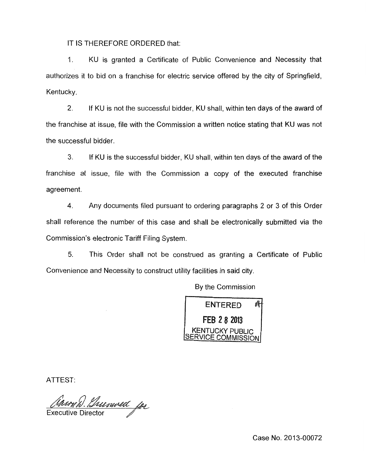IT IS THEREFORE ORDERED that:

1. KU is granted a Certificate of Public Convenience and Necessity that authorizes it to bid on a franchise for electric service offered by the city of Springfield, Kentucky.

2. If KU is not the successful bidder, KU shall, within ten days of the award of the franchise at issue, file with the Commission a written notice stating that KU was not the successful bidder.

**3.** If KU is the successful bidder, KU shall, within ten days of the award of the franchise at issue, file with the Commission a copy of the executed franchise agreement.

**4.** Any documents filed pursuant to ordering paragraphs 2 or 3 of this Order shall reference the number of this case and shall be electronically submitted via the Commission's electronic Tariff Filing System.

*5.* This Order shall not be construed as granting a Certificate of Public Convenience and Necessity to construct utility facilities in said city

By the Commission



ATTEST:

Animal Unioned for

**Executive Director** 

Case No. 2013-00072